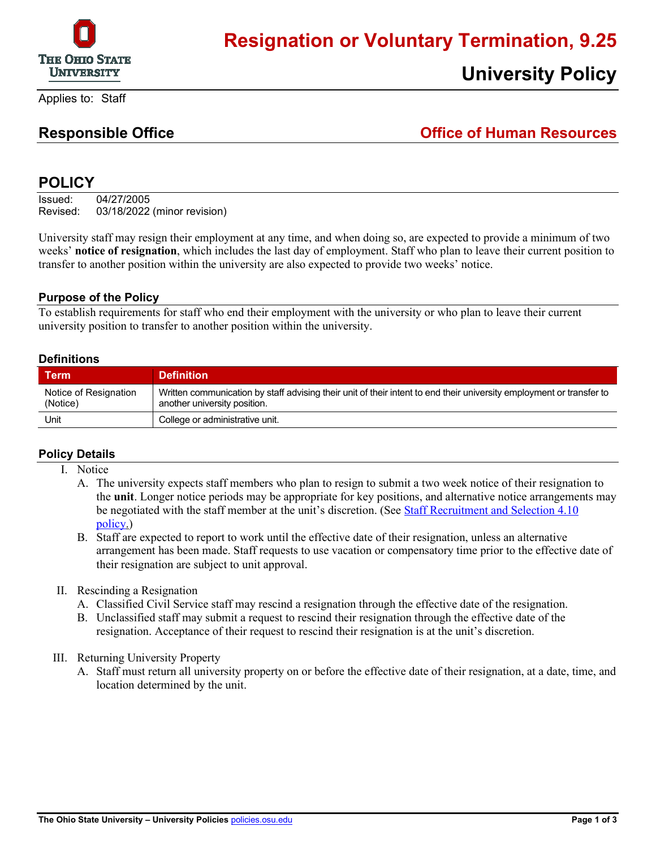

Applies to: Staff

# **Responsible Office Office of Human Resources**

**University Policy**

## **POLICY**

Issued: 04/27/2005 Revised: 03/18/2022 (minor revision)

University staff may resign their employment at any time, and when doing so, are expected to provide a minimum of two weeks' **notice of resignation**, which includes the last day of employment. Staff who plan to leave their current position to transfer to another position within the university are also expected to provide two weeks' notice.

#### **Purpose of the Policy**

To establish requirements for staff who end their employment with the university or who plan to leave their current university position to transfer to another position within the university.

#### **Definitions**

| Term                              | <b>Definition</b>                                                                                                                                    |
|-----------------------------------|------------------------------------------------------------------------------------------------------------------------------------------------------|
| Notice of Resignation<br>(Notice) | Written communication by staff advising their unit of their intent to end their university employment or transfer to<br>another university position. |
| Unit                              | College or administrative unit.                                                                                                                      |

#### **Policy Details**

- I. Notice
	- A. The university expects staff members who plan to resign to submit a two week notice of their resignation to the **unit**. Longer notice periods may be appropriate for key positions, and alternative notice arrangements may be negotiated with the staff member at the unit's discretion. (See Staff Recruitment and Selection 4.10) [policy.](https://hr.osu.edu/public/documents/policy/policy410.pdf))
	- B. Staff are expected to report to work until the effective date of their resignation, unless an alternative arrangement has been made. Staff requests to use vacation or compensatory time prior to the effective date of their resignation are subject to unit approval.
- II. Rescinding a Resignation
	- A. Classified Civil Service staff may rescind a resignation through the effective date of the resignation.
	- B. Unclassified staff may submit a request to rescind their resignation through the effective date of the resignation. Acceptance of their request to rescind their resignation is at the unit's discretion.
- III. Returning University Property
	- A. Staff must return all university property on or before the effective date of their resignation, at a date, time, and location determined by the unit.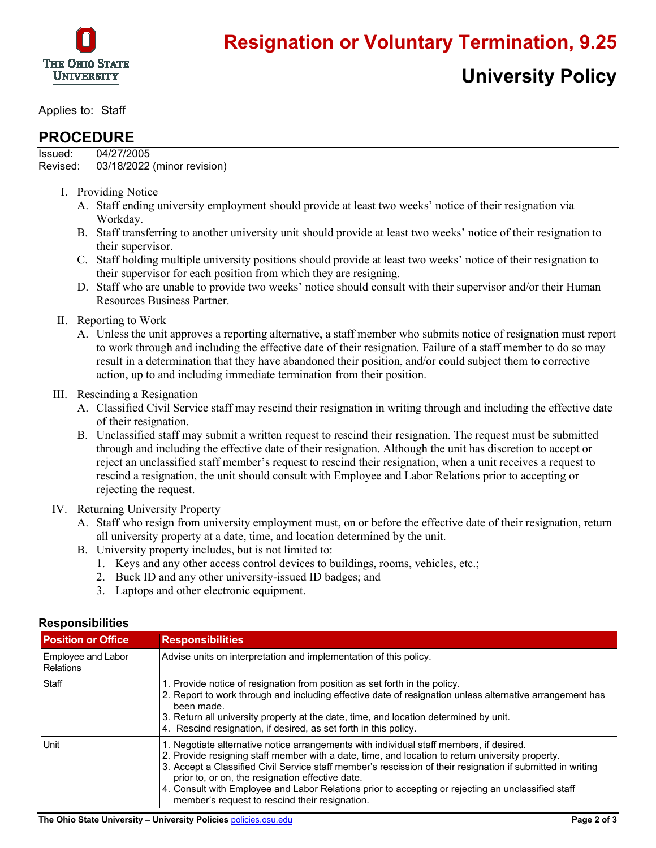

Applies to: Staff

### **PROCEDURE**

Issued: 04/27/2005 Revised: 03/18/2022 (minor revision)

- I. Providing Notice
	- A. Staff ending university employment should provide at least two weeks' notice of their resignation via Workday.
	- B. Staff transferring to another university unit should provide at least two weeks' notice of their resignation to their supervisor.
	- C. Staff holding multiple university positions should provide at least two weeks' notice of their resignation to their supervisor for each position from which they are resigning.
	- D. Staff who are unable to provide two weeks' notice should consult with their supervisor and/or their Human Resources Business Partner.
- II. Reporting to Work
	- A. Unless the unit approves a reporting alternative, a staff member who submits notice of resignation must report to work through and including the effective date of their resignation. Failure of a staff member to do so may result in a determination that they have abandoned their position, and/or could subject them to corrective action, up to and including immediate termination from their position.
- III. Rescinding a Resignation
	- A. Classified Civil Service staff may rescind their resignation in writing through and including the effective date of their resignation.
	- B. Unclassified staff may submit a written request to rescind their resignation. The request must be submitted through and including the effective date of their resignation. Although the unit has discretion to accept or reject an unclassified staff member's request to rescind their resignation, when a unit receives a request to rescind a resignation, the unit should consult with Employee and Labor Relations prior to accepting or rejecting the request.
- IV. Returning University Property
	- A. Staff who resign from university employment must, on or before the effective date of their resignation, return all university property at a date, time, and location determined by the unit.
	- B. University property includes, but is not limited to:
		- 1. Keys and any other access control devices to buildings, rooms, vehicles, etc.;
		- 2. Buck ID and any other university-issued ID badges; and
		- 3. Laptops and other electronic equipment.

| <b>Position or Office</b>              | <b>Responsibilities</b>                                                                                                                                                                                                                                                                                                                                                                                                                                                                                                |
|----------------------------------------|------------------------------------------------------------------------------------------------------------------------------------------------------------------------------------------------------------------------------------------------------------------------------------------------------------------------------------------------------------------------------------------------------------------------------------------------------------------------------------------------------------------------|
| Employee and Labor<br><b>Relations</b> | Advise units on interpretation and implementation of this policy.                                                                                                                                                                                                                                                                                                                                                                                                                                                      |
| Staff                                  | 1. Provide notice of resignation from position as set forth in the policy.<br>2. Report to work through and including effective date of resignation unless alternative arrangement has<br>been made.<br>3. Return all university property at the date, time, and location determined by unit.<br>4. Rescind resignation, if desired, as set forth in this policy.                                                                                                                                                      |
| Unit                                   | 1. Negotiate alternative notice arrangements with individual staff members, if desired.<br>2. Provide resigning staff member with a date, time, and location to return university property.<br>3. Accept a Classified Civil Service staff member's rescission of their resignation if submitted in writing<br>prior to, or on, the resignation effective date.<br>4. Consult with Employee and Labor Relations prior to accepting or rejecting an unclassified staff<br>member's request to rescind their resignation. |

#### **Responsibilities**